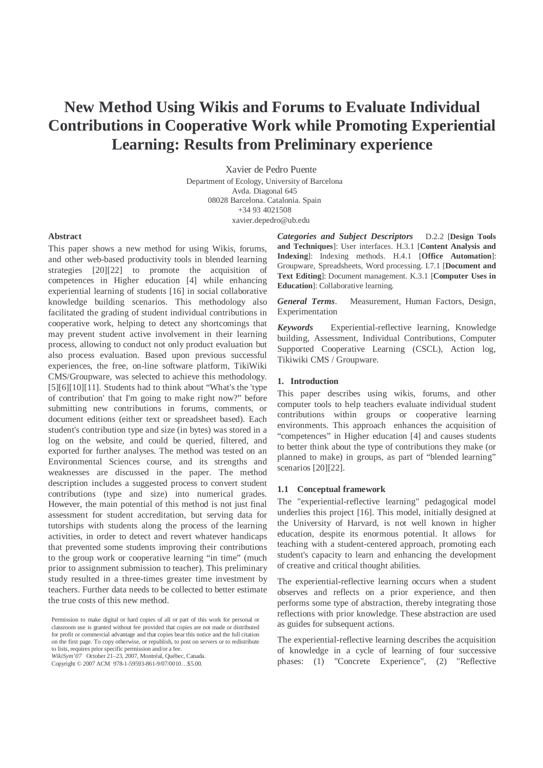# **New Method Using Wikis and Forums to Evaluate Individual Contributions in Cooperative Work while Promoting Experiential Learning: Results from Preliminary experience**

Xavier de Pedro Puente Department of Ecology, University of Barcelona Avda. Diagonal 645 08028 Barcelona. Catalonia. Spain +34 93 4021508 xavier.depedro@ub.edu

## **Abstract**

This paper shows a new method for using Wikis, forums, and other web-based productivity tools in blended learning strategies [20][22] to promote the acquisition of competences in Higher education [4] while enhancing experiential learning of students [16] in social collaborative knowledge building scenarios. This methodology also facilitated the grading of student individual contributions in cooperative work, helping to detect any shortcomings that may prevent student active involvement in their learning process, allowing to conduct not only product evaluation but also process evaluation. Based upon previous successful experiences, the free, on-line software platform, TikiWiki CMS/Groupware, was selected to achieve this methodology. [5][6][10][11]. Students had to think about "What's the 'type of contribution' that I'm going to make right now?" before submitting new contributions in forums, comments, or document editions (either text or spreadsheet based). Each student's contribution type and size (in bytes) was stored in a log on the website, and could be queried, filtered, and exported for further analyses. The method was tested on an Environmental Sciences course, and its strengths and weaknesses are discussed in the paper. The method description includes a suggested process to convert student contributions (type and size) into numerical grades. However, the main potential of this method is not just final assessment for student accreditation, but serving data for tutorships with students along the process of the learning activities, in order to detect and revert whatever handicaps that prevented some students improving their contributions to the group work or cooperative learning "in time" (much prior to assignment submission to teacher). This preliminary study resulted in a three-times greater time investment by teachers. Further data needs to be collected to better estimate the true costs of this new method.

*Categories and Subject Descriptors* D.2.2 [**Design Tools and Techniques**]: User interfaces. H.3.1 [**Content Analysis and Indexing**]: Indexing methods. H.4.1 [**Office Automation**]: Groupware, Spreadsheets, Word processing. I.7.1 [**Document and Text Editing**]: Document management. K.3.1 [**Computer Uses in Education**]: Collaborative learning*.*

*General Terms*. Measurement, Human Factors, Design, Experimentation

*Keywords* Experiential-reflective learning, Knowledge building, Assessment, Individual Contributions, Computer Supported Cooperative Learning (CSCL), Action log, Tikiwiki CMS / Groupware.

#### **1. Introduction**

This paper describes using wikis, forums, and other computer tools to help teachers evaluate individual student contributions within groups or cooperative learning environments. This approach enhances the acquisition of "competences" in Higher education [4] and causes students to better think about the type of contributions they make (or planned to make) in groups, as part of "blended learning" scenarios [20][22].

#### **1.1 Conceptual framework**

The "experiential-reflective learning" pedagogical model underlies this project [16]. This model, initially designed at the University of Harvard, is not well known in higher education, despite its enormous potential. It allows for teaching with a student-centered approach, promoting each student's capacity to learn and enhancing the development of creative and critical thought abilities.

The experiential-reflective learning occurs when a student observes and reflects on a prior experience, and then performs some type of abstraction, thereby integrating those reflections with prior knowledge. These abstraction are used as guides for subsequent actions.

The experiential-reflective learning describes the acquisition of knowledge in a cycle of learning of four successive phases: (1) "Concrete Experience", (2) "Reflective

Permission to make digital or hard copies of all or part of this work for personal or classroom use is granted without fee provided that copies are not made or distributed for profit or commercial advantage and that copies bear this notice and the full citation on the first page. To copy otherwise, or republish, to post on servers or to redistribute to lists, requires prior specific permission and/or a fee. *WikiSym'07* October 21–23, 2007, Montréal, Québec, Canada.

Copyright © 2007 ACM 978-1-59593-861-9/07/0010…\$5.00.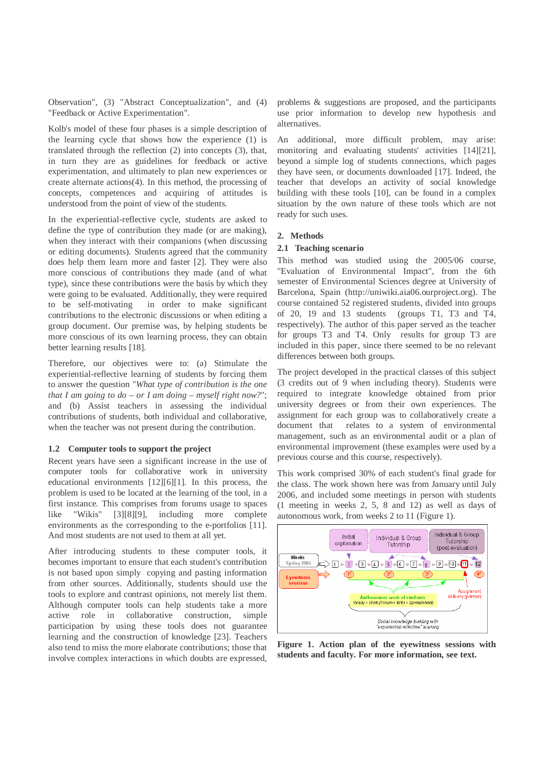Observation", (3) "Abstract Conceptualization", and (4) "Feedback or Active Experimentation".

Kolb's model of these four phases is a simple description of the learning cycle that shows how the experience (1) is translated through the reflection (2) into concepts (3), that, in turn they are as guidelines for feedback or active experimentation, and ultimately to plan new experiences or create alternate actions(4). In this method, the processing of concepts, competences and acquiring of attitudes is understood from the point of view of the students.

In the experiential-reflective cycle, students are asked to define the type of contribution they made (or are making), when they interact with their companions (when discussing or editing documents). Students agreed that the community does help them learn more and faster [2]. They were also more conscious of contributions they made (and of what type), since these contributions were the basis by which they were going to be evaluated. Additionally, they were required to be self-motivating in order to make significant contributions to the electronic discussions or when editing a group document. Our premise was, by helping students be more conscious of its own learning process, they can obtain better learning results [18].

Therefore, our objectives were to: (a) Stimulate the experiential-reflective learning of students by forcing them to answer the question "*What type of contribution is the one that I am going to do – or I am doing – myself right now?*"; and (b) Assist teachers in assessing the individual contributions of students, both individual and collaborative, when the teacher was not present during the contribution.

#### **1.2 Computer tools to support the project**

Recent years have seen a significant increase in the use of computer tools for collaborative work in university educational environments [12][6][1]. In this process, the problem is used to be located at the learning of the tool, in a first instance. This comprises from forums usage to spaces like "Wikis" [3][8][9], including more complete environments as the corresponding to the e-portfolios [11]. And most students are not used to them at all yet.

After introducing students to these computer tools, it becomes important to ensure that each student's contribution is not based upon simply copying and pasting information from other sources. Additionally, students should use the tools to explore and contrast opinions, not merely list them. Although computer tools can help students take a more active role in collaborative construction, simple participation by using these tools does not guarantee learning and the construction of knowledge [23]. Teachers also tend to miss the more elaborate contributions; those that involve complex interactions in which doubts are expressed, problems & suggestions are proposed, and the participants use prior information to develop new hypothesis and alternatives.

An additional, more difficult problem, may arise: monitoring and evaluating students' activities [14][21], beyond a simple log of students connections, which pages they have seen, or documents downloaded [17]. Indeed, the teacher that develops an activity of social knowledge building with these tools [10], can be found in a complex situation by the own nature of these tools which are not ready for such uses.

## **2. Methods**

#### **2.1 Teaching scenario**

This method was studied using the 2005/06 course, "Evaluation of Environmental Impact", from the 6th semester of Environmental Sciences degree at University of Barcelona, Spain (http://uniwiki.aia06.ourproject.org). The course contained 52 registered students, divided into groups of 20, 19 and 13 students (groups T1, T3 and T4, respectively). The author of this paper served as the teacher for groups T3 and T4. Only results for group T3 are included in this paper, since there seemed to be no relevant differences between both groups.

The project developed in the practical classes of this subject (3 credits out of 9 when including theory). Students were required to integrate knowledge obtained from prior university degrees or from their own experiences. The assignment for each group was to collaboratively create a document that relates to a system of environmental management, such as an environmental audit or a plan of environmental improvement (these examples were used by a previous course and this course, respectively).

This work comprised 30% of each student's final grade for the class. The work shown here was from January until July 2006, and included some meetings in person with students (1 meeting in weeks 2, 5, 8 and 12) as well as days of autonomous work, from weeks 2 to 11 (Figure 1).



**Figure 1. Action plan of the eyewitness sessions with students and faculty. For more information, see text.**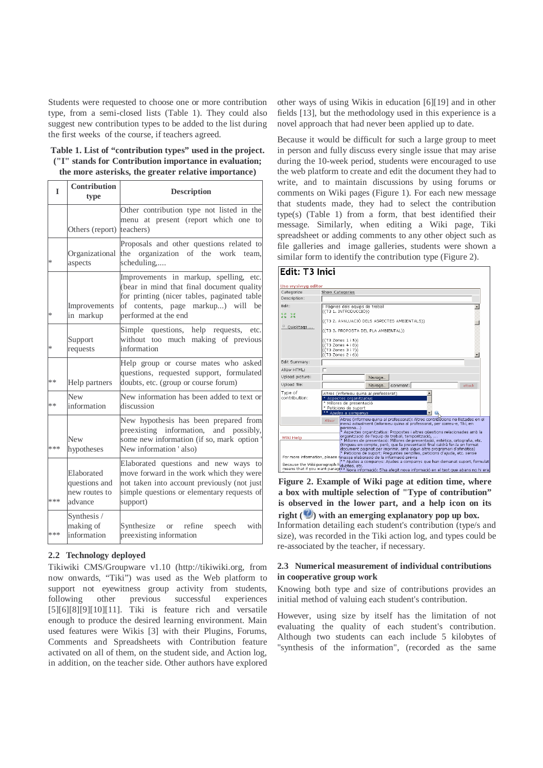Students were requested to choose one or more contribution type, from a semi-closed lists (Table 1). They could also suggest new contribution types to be added to the list during the first weeks of the course, if teachers agreed.

| Table 1. List of "contribution types" used in the project. |  |
|------------------------------------------------------------|--|
| ("I" stands for Contribution importance in evaluation;     |  |
| the more asterisks, the greater relative importance)       |  |

| I      | Contribution<br>type                                    | <b>Description</b>                                                                                                                                                                                 |
|--------|---------------------------------------------------------|----------------------------------------------------------------------------------------------------------------------------------------------------------------------------------------------------|
|        | Others (report)                                         | Other contribution type not listed in the<br>menu at present (report which one<br>to<br>teachers)                                                                                                  |
| *      | Organizational<br>aspects                               | Proposals and other questions related to<br>the organization of the work<br>team,<br>scheduling                                                                                                    |
| $\ast$ | Improvements<br>in markup                               | Improvements in markup, spelling, etc.<br>(bear in mind that final document quality<br>for printing (nicer tables, paginated table<br>of contents, page markup) will<br>be<br>performed at the end |
| *      | Support<br>requests                                     | questions, help requests, etc.<br>Simple<br>without too much making of previous<br>information                                                                                                     |
| **     | Help partners                                           | Help group or course mates who asked<br>questions, requested support, formulated<br>doubts, etc. (group or course forum)                                                                           |
| **     | <b>New</b><br>information                               | New information has been added to text or<br>discussion                                                                                                                                            |
| ***    | <b>New</b><br>hypotheses                                | New hypothesis has been prepared from<br>preexisting information, and possibly,<br>some new information (if so, mark option<br>New information 'also)                                              |
| ***    | Elaborated<br>questions and<br>new routes to<br>advance | Elaborated questions and new ways to<br>move forward in the work which they were<br>not taken into account previously (not just<br>simple questions or elementary requests of<br>support)          |
| ***    | Synthesis /<br>making of<br>information                 | Synthesize or refine<br>speech<br>with<br>preexisting information                                                                                                                                  |

# **2.2 Technology deployed**

Tikiwiki CMS/Groupware v1.10 (http://tikiwiki.org, from now onwards, "Tiki") was used as the Web platform to support not eyewitness group activity from students, following other previous successful experiences [5][6][8][9][10][11]. Tiki is feature rich and versatile enough to produce the desired learning environment. Main used features were Wikis [3] with their Plugins, Forums, Comments and Spreadsheets with Contribution feature activated on all of them, on the student side, and Action log, in addition, on the teacher side. Other authors have explored other ways of using Wikis in education [6][19] and in other fields [13], but the methodology used in this experience is a novel approach that had never been applied up to date.

Because it would be difficult for such a large group to meet in person and fully discuss every single issue that may arise during the 10-week period, students were encouraged to use the web platform to create and edit the document they had to write, and to maintain discussions by using forums or comments on Wiki pages (Figure 1). For each new message that students made, they had to select the contribution type(s) (Table 1) from a form, that best identified their message. Similarly, when editing a Wiki page, Tiki spreadsheet or adding comments to any other object such as file galleries and image galleries, students were shown a similar form to identify the contribution type (Figure 2).



Information detailing each student's contribution (type/s and size), was recorded in the Tiki action log, and types could be re-associated by the teacher, if necessary. **Figure 2. Example of Wiki page at edition time, where a box with multiple selection of "Type of contribution" is observed in the lower part, and a help icon on its right ( ) with an emerging explanatory pop up box.**

# **2.3 Numerical measurement of individual contributions in cooperative group work**

Knowing both type and size of contributions provides an initial method of valuing each student's contribution.

However, using size by itself has the limitation of not evaluating the quality of each student's contribution. Although two students can each include 5 kilobytes of "synthesis of the information", (recorded as the same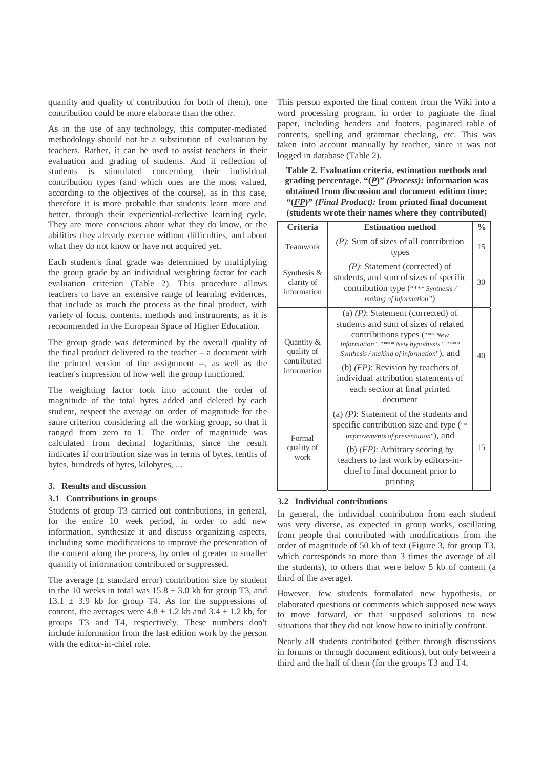quantity and quality of contribution for both of them), one contribution could be more elaborate than the other.

As in the use of any technology, this computer-mediated methodology should not be a substitution of evaluation by teachers. Rather, it can be used to assist teachers in their evaluation and grading of students. And if reflection of students is stimulated concerning their individual contribution types (and which ones are the most valued, according to the objectives of the course), as in this case, therefore it is more probable that students learn more and better, through their experiential-reflective learning cycle. They are more conscious about what they do know, or the abilities they already execute without difficulties, and about what they do not know or have not acquired yet.

Each student's final grade was determined by multiplying the group grade by an individual weighting factor for each evaluation criterion (Table 2). This procedure allows teachers to have an extensive range of learning evidences, that include as much the process as the final product, with variety of focus, contents, methods and instruments, as it is recommended in the European Space of Higher Education.

The group grade was determined by the overall quality of the final product delivered to the teacher – a document with the printed version of the assignment --, as well as the teacher's impression of how well the group functioned.

The weighting factor took into account the order of magnitude of the total bytes added and deleted by each student, respect the average on order of magnitude for the same criterion considering all the working group, so that it ranged from zero to 1. The order of magnitude was calculated from decimal logarithms, since the result indicates if contribution size was in terms of bytes, tenths of bytes, hundreds of bytes, kilobytes, ...

## **3. Results and discussion**

## **3.1 Contributions in groups**

Students of group T3 carried out contributions, in general, for the entire 10 week period, in order to add new information, synthesize it and discuss organizing aspects, including some modifications to improve the presentation of the content along the process, by order of greater to smaller quantity of information contributed or suppressed.

The average  $(± standard error)$  contribution size by student in the 10 weeks in total was  $15.8 \pm 3.0$  kb for group T3, and  $13.1 \pm 3.9$  kb for group T4. As for the suppressions of content, the averages were  $4.8 \pm 1.2$  kb and  $3.4 \pm 1.2$  kb, for groups T3 and T4, respectively. These numbers don't include information from the last edition work by the person with the editor-in-chief role.

This person exported the final content from the Wiki into a word processing program, in order to paginate the final paper, including headers and footers, paginated table of contents, spelling and grammar checking, etc. This was taken into account manually by teacher, since it was not logged in database (Table 2).

**Table 2. Evaluation criteria, estimation methods and grading percentage. "(***P***)"** *(Process):* **information was obtained from discussion and document edition time; "(***FP***)"** *(Final Product):* **from printed final document (students wrote their names where they contributed)** 

| <b>Criteria</b>                                        | <b>Estimation method</b>                                                                                                                                                                                                                                                                                                          | $\frac{0}{0}$ |
|--------------------------------------------------------|-----------------------------------------------------------------------------------------------------------------------------------------------------------------------------------------------------------------------------------------------------------------------------------------------------------------------------------|---------------|
| Teamwork                                               | $(P)$ : Sum of sizes of all contribution<br>types                                                                                                                                                                                                                                                                                 | 15            |
| Synthesis $&$<br>clarity of<br>information             | $(P)$ : Statement (corrected) of<br>students, and sum of sizes of specific<br>contribution type ("*** Synthesis /<br>making of information")                                                                                                                                                                                      | 30            |
| Quantity &<br>quality of<br>contributed<br>information | (a) $(P)$ : Statement (corrected) of<br>students and sum of sizes of related<br>contributions types ("** New<br>Information", "*** New hypothesis", "***<br>Synthesis / making of information"), and<br>(b) $(FP)$ : Revision by teachers of<br>individual attribution statements of<br>each section at final printed<br>document | 40            |
| Formal<br>quality of<br>work                           | (a) $(P)$ : Statement of the students and<br>specific contribution size and type ("*<br>Improvements of presentation"), and<br>(b) $(FP)$ : Arbitrary scoring by<br>teachers to last work by editors-in-<br>chief to final document prior to<br>printing                                                                          | 15            |

## **3.2 Individual contributions**

In general, the individual contribution from each student was very diverse, as expected in group works, oscillating from people that contributed with modifications from the order of magnitude of 50 kb of text (Figure 3, for group T3, which corresponds to more than 3 times the average of all the students), to others that were below 5 kb of content (a third of the average).

However, few students formulated new hypothesis, or elaborated questions or comments which supposed new ways to move forward, or that supposed solutions to new situations that they did not know how to initially confront.

Nearly all students contributed (either through discussions in forums or through document editions), but only between a third and the half of them (for the groups T3 and T4,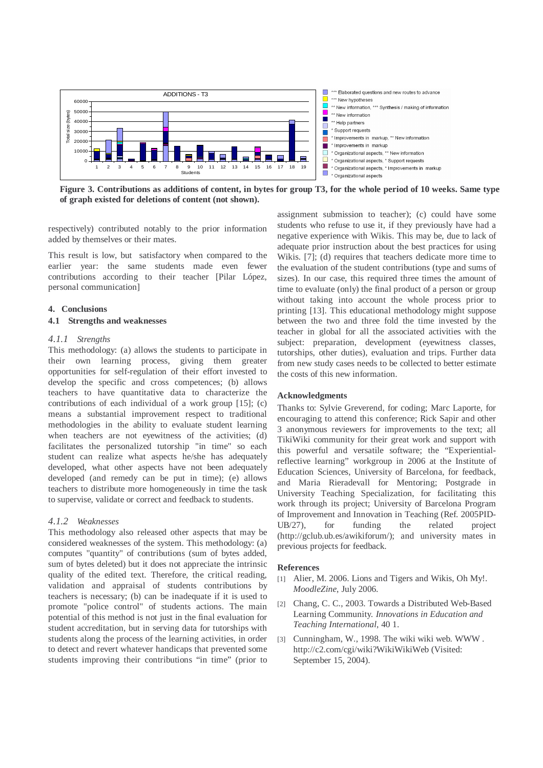

**Figure 3. Contributions as additions of content, in bytes for group T3, for the whole period of 10 weeks. Same type of graph existed for deletions of content (not shown).** 

respectively) contributed notably to the prior information added by themselves or their mates.

This result is low, but satisfactory when compared to the earlier year: the same students made even fewer contributions according to their teacher [Pilar López, personal communication]

## **4. Conclusions**

#### **4.1 Strengths and weaknesses**

#### *4.1.1 Strengths*

This methodology: (a) allows the students to participate in their own learning process, giving them greater opportunities for self-regulation of their effort invested to develop the specific and cross competences; (b) allows teachers to have quantitative data to characterize the contributions of each individual of a work group [15]; (c) means a substantial improvement respect to traditional methodologies in the ability to evaluate student learning when teachers are not eyewitness of the activities; (d) facilitates the personalized tutorship "in time" so each student can realize what aspects he/she has adequately developed, what other aspects have not been adequately developed (and remedy can be put in time); (e) allows teachers to distribute more homogeneously in time the task to supervise, validate or correct and feedback to students.

## *4.1.2 Weaknesses*

This methodology also released other aspects that may be considered weaknesses of the system. This methodology: (a) computes "quantity" of contributions (sum of bytes added, sum of bytes deleted) but it does not appreciate the intrinsic quality of the edited text. Therefore, the critical reading, validation and appraisal of students contributions by teachers is necessary; (b) can be inadequate if it is used to promote "police control" of students actions. The main potential of this method is not just in the final evaluation for student accreditation, but in serving data for tutorships with students along the process of the learning activities, in order to detect and revert whatever handicaps that prevented some students improving their contributions "in time" (prior to assignment submission to teacher); (c) could have some students who refuse to use it, if they previously have had a negative experience with Wikis. This may be, due to lack of adequate prior instruction about the best practices for using Wikis. [7]; (d) requires that teachers dedicate more time to the evaluation of the student contributions (type and sums of sizes). In our case, this required three times the amount of time to evaluate (only) the final product of a person or group without taking into account the whole process prior to printing [13]. This educational methodology might suppose between the two and three fold the time invested by the teacher in global for all the associated activities with the subject: preparation, development (eyewitness classes, tutorships, other duties), evaluation and trips. Further data from new study cases needs to be collected to better estimate the costs of this new information.

# **Acknowledgments**

Thanks to: Sylvie Greverend, for coding; Marc Laporte, for encouraging to attend this conference; Rick Sapir and other 3 anonymous reviewers for improvements to the text; all TikiWiki community for their great work and support with this powerful and versatile software; the "Experientialreflective learning" workgroup in 2006 at the Institute of Education Sciences, University of Barcelona, for feedback, and Maria Rieradevall for Mentoring; Postgrade in University Teaching Specialization, for facilitating this work through its project; University of Barcelona Program of Improvement and Innovation in Teaching (Ref. 2005PID-UB/27), for funding the related project (http://gclub.ub.es/awikiforum/); and university mates in previous projects for feedback.

#### **References**

- [1] Alier, M. 2006. Lions and Tigers and Wikis, Oh My!. *MoodleZine*, July 2006.
- [2] Chang, C. C., 2003. Towards a Distributed Web-Based Learning Community*. Innovations in Education and Teaching International*, 40 1.
- [3] Cunningham, W., 1998. The wiki wiki web. WWW. http://c2.com/cgi/wiki?WikiWikiWeb (Visited: September 15, 2004).